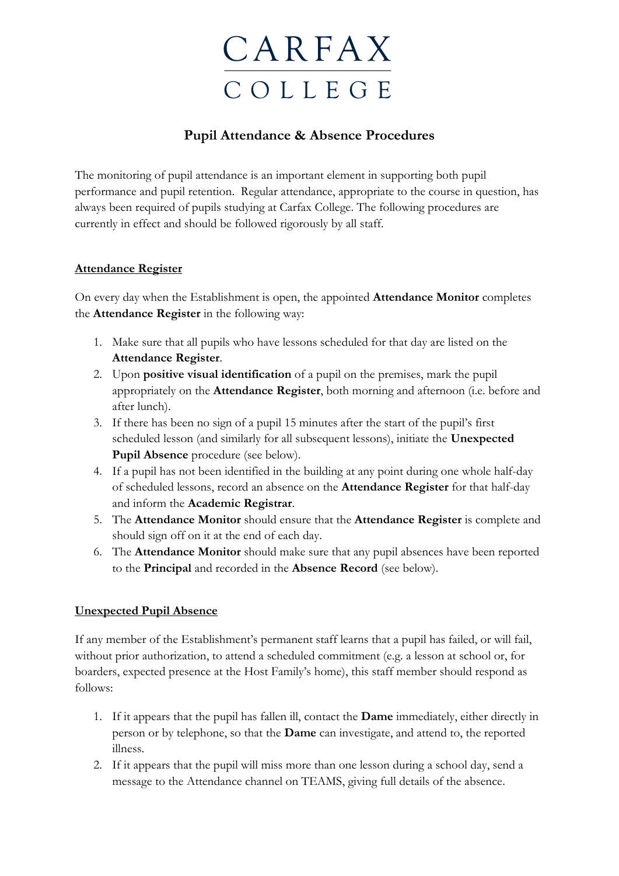

# **Pupil Attendance & Absence Procedures**

The monitoring of pupil attendance is an important element in supporting both pupil performance and pupil retention. Regular attendance, appropriate to the course in question, has always been required of pupils studying at Carfax College. The following procedures are currently in effect and should be followed rigorously by all staff.

# **Attendance Register**

On every day when the Establishment is open, the appointed **Attendance Monitor** completes the **Attendance Register** in the following way:

- 1. Make sure that all pupils who have lessons scheduled for that day are listed on the **Attendance Register**.
- 2. Upon **positive visual identification** of a pupil on the premises, mark the pupil appropriately on the **Attendance Register**, both morning and afternoon (i.e. before and after lunch).
- 3. If there has been no sign of a pupil 15 minutes after the start of the pupil's first scheduled lesson (and similarly for all subsequent lessons), initiate the **Unexpected Pupil Absence** procedure (see below).
- 4. If a pupil has not been identified in the building at any point during one whole half-day of scheduled lessons, record an absence on the **Attendance Register** for that half-day and inform the **Academic Registrar**.
- 5. The **Attendance Monitor** should ensure that the **Attendance Register** is complete and should sign off on it at the end of each day.
- 6. The **Attendance Monitor** should make sure that any pupil absences have been reported to the **Principal** and recorded in the **Absence Record** (see below).

# **Unexpected Pupil Absence**

If any member of the Establishment's permanent staff learns that a pupil has failed, or will fail, without prior authorization, to attend a scheduled commitment (e.g. a lesson at school or, for boarders, expected presence at the Host Family's home), this staff member should respond as follows:

- 1. If it appears that the pupil has fallen ill, contact the **Dame** immediately, either directly in person or by telephone, so that the **Dame** can investigate, and attend to, the reported illness.
- 2. If it appears that the pupil will miss more than one lesson during a school day, send a message to the Attendance channel on TEAMS, giving full details of the absence.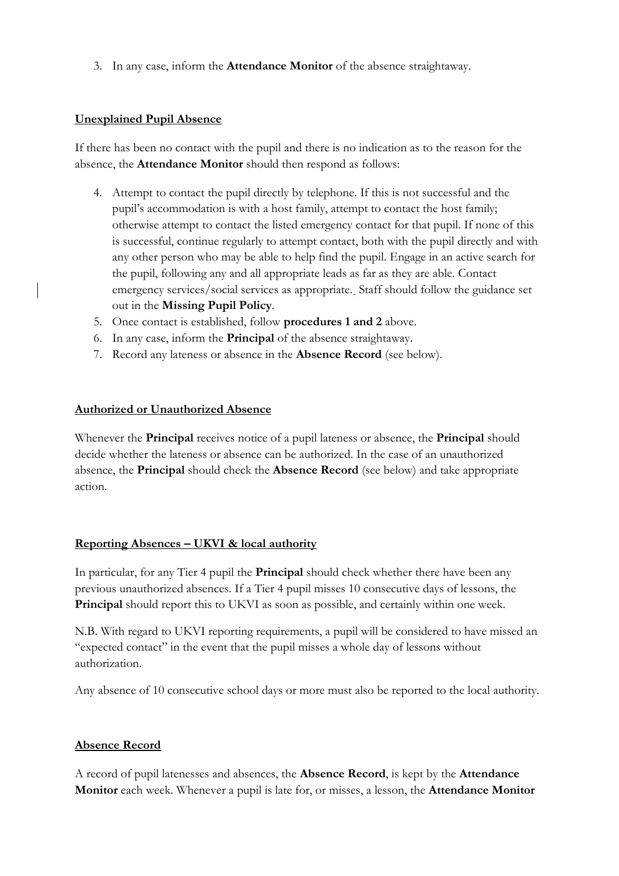3. In any case, inform the **Attendance Monitor** of the absence straightaway.

#### **Unexplained Pupil Absence**

If there has been no contact with the pupil and there is no indication as to the reason for the absence, the **Attendance Monitor** should then respond as follows:

- 4. Attempt to contact the pupil directly by telephone. If this is not successful and the pupil's accommodation is with a host family, attempt to contact the host family; otherwise attempt to contact the listed emergency contact for that pupil. If none of this is successful, continue regularly to attempt contact, both with the pupil directly and with any other person who may be able to help find the pupil. Engage in an active search for the pupil, following any and all appropriate leads as far as they are able. Contact emergency services/social services as appropriate. Staff should follow the guidance set out in the **Missing Pupil Policy**.
- 5. Once contact is established, follow **procedures 1 and 2** above.
- 6. In any case, inform the **Principal** of the absence straightaway.
- 7. Record any lateness or absence in the **Absence Record** (see below).

#### **Authorized or Unauthorized Absence**

Whenever the **Principal** receives notice of a pupil lateness or absence, the **Principal** should decide whether the lateness or absence can be authorized. In the case of an unauthorized absence, the **Principal** should check the **Absence Record** (see below) and take appropriate action.

# **Reporting Absences – UKVI & local authority**

In particular, for any Tier 4 pupil the **Principal** should check whether there have been any previous unauthorized absences. If a Tier 4 pupil misses 10 consecutive days of lessons, the **Principal** should report this to UKVI as soon as possible, and certainly within one week.

N.B. With regard to UKVI reporting requirements, a pupil will be considered to have missed an "expected contact" in the event that the pupil misses a whole day of lessons without authorization.

Any absence of 10 consecutive school days or more must also be reported to the local authority.

# **Absence Record**

A record of pupil latenesses and absences, the **Absence Record**, is kept by the **Attendance Monitor** each week. Whenever a pupil is late for, or misses, a lesson, the **Attendance Monitor**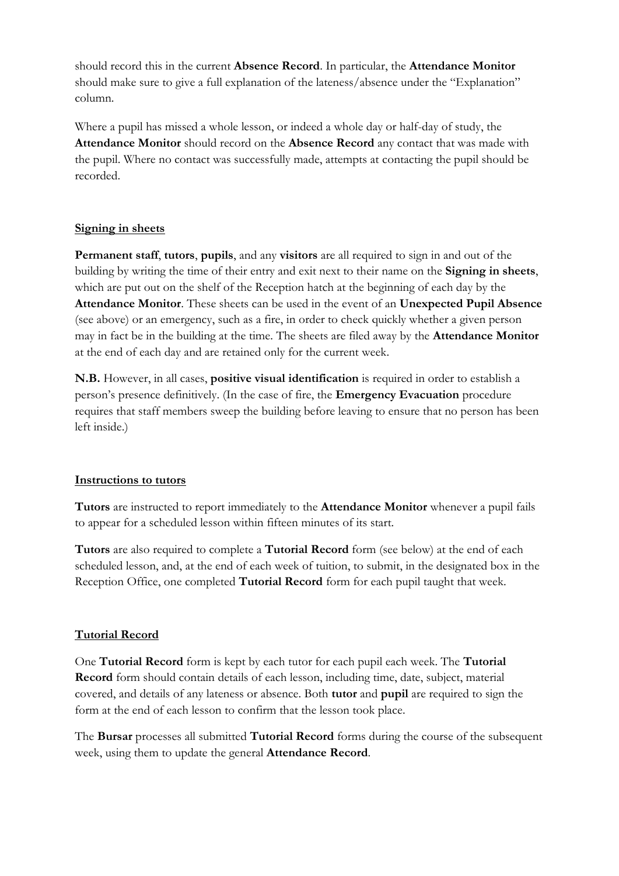should record this in the current **Absence Record**. In particular, the **Attendance Monitor** should make sure to give a full explanation of the lateness/absence under the "Explanation" column.

Where a pupil has missed a whole lesson, or indeed a whole day or half-day of study, the **Attendance Monitor** should record on the **Absence Record** any contact that was made with the pupil. Where no contact was successfully made, attempts at contacting the pupil should be recorded.

# **Signing in sheets**

**Permanent staff**, **tutors**, **pupils**, and any **visitors** are all required to sign in and out of the building by writing the time of their entry and exit next to their name on the **Signing in sheets**, which are put out on the shelf of the Reception hatch at the beginning of each day by the **Attendance Monitor**. These sheets can be used in the event of an **Unexpected Pupil Absence**  (see above) or an emergency, such as a fire, in order to check quickly whether a given person may in fact be in the building at the time. The sheets are filed away by the **Attendance Monitor** at the end of each day and are retained only for the current week.

**N.B.** However, in all cases, **positive visual identification** is required in order to establish a person's presence definitively. (In the case of fire, the **Emergency Evacuation** procedure requires that staff members sweep the building before leaving to ensure that no person has been left inside.)

#### **Instructions to tutors**

**Tutors** are instructed to report immediately to the **Attendance Monitor** whenever a pupil fails to appear for a scheduled lesson within fifteen minutes of its start.

**Tutors** are also required to complete a **Tutorial Record** form (see below) at the end of each scheduled lesson, and, at the end of each week of tuition, to submit, in the designated box in the Reception Office, one completed **Tutorial Record** form for each pupil taught that week.

# **Tutorial Record**

One **Tutorial Record** form is kept by each tutor for each pupil each week. The **Tutorial Record** form should contain details of each lesson, including time, date, subject, material covered, and details of any lateness or absence. Both **tutor** and **pupil** are required to sign the form at the end of each lesson to confirm that the lesson took place.

The **Bursar** processes all submitted **Tutorial Record** forms during the course of the subsequent week, using them to update the general **Attendance Record**.